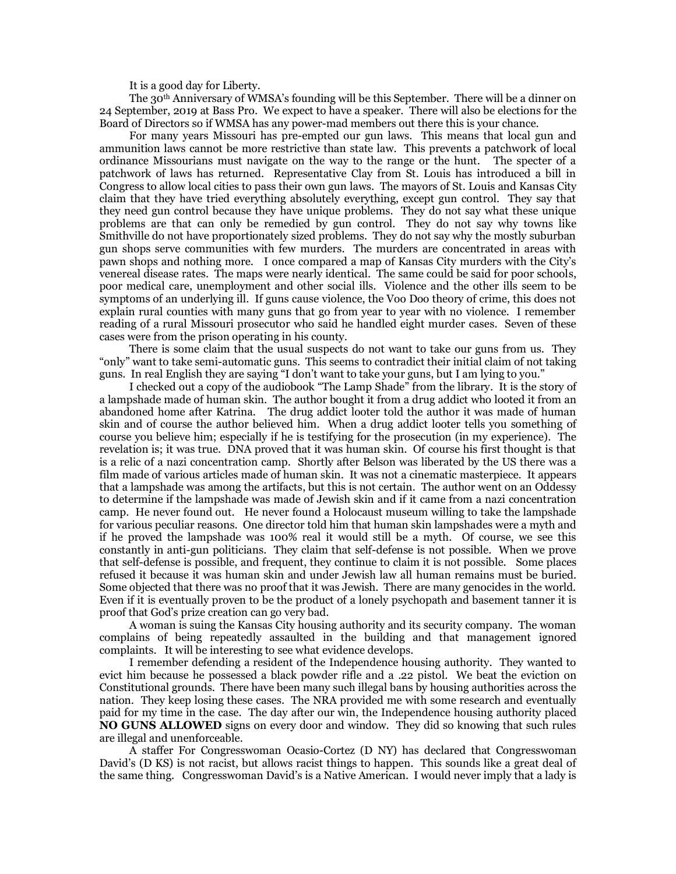It is a good day for Liberty.

The 30th Anniversary of WMSA's founding will be this September. There will be a dinner on 24 September, 2019 at Bass Pro. We expect to have a speaker. There will also be elections for the Board of Directors so if WMSA has any power-mad members out there this is your chance.

For many years Missouri has pre-empted our gun laws. This means that local gun and ammunition laws cannot be more restrictive than state law. This prevents a patchwork of local ordinance Missourians must navigate on the way to the range or the hunt. The specter of a patchwork of laws has returned. Representative Clay from St. Louis has introduced a bill in Congress to allow local cities to pass their own gun laws. The mayors of St. Louis and Kansas City claim that they have tried everything absolutely everything, except gun control. They say that they need gun control because they have unique problems. They do not say what these unique problems are that can only be remedied by gun control. They do not say why towns like Smithville do not have proportionately sized problems. They do not say why the mostly suburban gun shops serve communities with few murders. The murders are concentrated in areas with pawn shops and nothing more. I once compared a map of Kansas City murders with the City's venereal disease rates. The maps were nearly identical. The same could be said for poor schools, poor medical care, unemployment and other social ills. Violence and the other ills seem to be symptoms of an underlying ill. If guns cause violence, the Voo Doo theory of crime, this does not explain rural counties with many guns that go from year to year with no violence. I remember reading of a rural Missouri prosecutor who said he handled eight murder cases. Seven of these cases were from the prison operating in his county.

There is some claim that the usual suspects do not want to take our guns from us. They "only" want to take semi-automatic guns. This seems to contradict their initial claim of not taking guns. In real English they are saying "I don't want to take your guns, but I am lying to you."

I checked out a copy of the audiobook "The Lamp Shade" from the library. It is the story of a lampshade made of human skin. The author bought it from a drug addict who looted it from an abandoned home after Katrina. The drug addict looter told the author it was made of human skin and of course the author believed him. When a drug addict looter tells you something of course you believe him; especially if he is testifying for the prosecution (in my experience). The revelation is; it was true. DNA proved that it was human skin. Of course his first thought is that is a relic of a nazi concentration camp. Shortly after Belson was liberated by the US there was a film made of various articles made of human skin. It was not a cinematic masterpiece. It appears that a lampshade was among the artifacts, but this is not certain. The author went on an Oddessy to determine if the lampshade was made of Jewish skin and if it came from a nazi concentration camp. He never found out. He never found a Holocaust museum willing to take the lampshade for various peculiar reasons. One director told him that human skin lampshades were a myth and if he proved the lampshade was 100% real it would still be a myth. Of course, we see this constantly in anti-gun politicians. They claim that self-defense is not possible. When we prove that self-defense is possible, and frequent, they continue to claim it is not possible. Some places refused it because it was human skin and under Jewish law all human remains must be buried. Some objected that there was no proof that it was Jewish. There are many genocides in the world. Even if it is eventually proven to be the product of a lonely psychopath and basement tanner it is proof that God's prize creation can go very bad.

A woman is suing the Kansas City housing authority and its security company. The woman complains of being repeatedly assaulted in the building and that management ignored complaints. It will be interesting to see what evidence develops.

I remember defending a resident of the Independence housing authority. They wanted to evict him because he possessed a black powder rifle and a .22 pistol. We beat the eviction on Constitutional grounds. There have been many such illegal bans by housing authorities across the nation. They keep losing these cases. The NRA provided me with some research and eventually paid for my time in the case. The day after our win, the Independence housing authority placed **NO GUNS ALLOWED** signs on every door and window. They did so knowing that such rules are illegal and unenforceable.

A staffer For Congresswoman Ocasio-Cortez (D NY) has declared that Congresswoman David's (D KS) is not racist, but allows racist things to happen. This sounds like a great deal of the same thing. Congresswoman David's is a Native American. I would never imply that a lady is